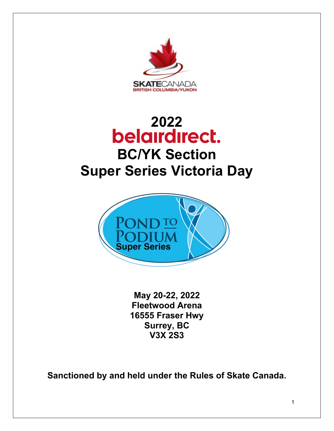

# **[2022](http://www.skatinginbc.com/news/belair-direct-member-benefit-page)  BC/YK Section Super Series Victoria Day**



**May 20-22, 2022 Fleetwood Arena 16555 Fraser Hwy Surrey, BC V3X 2S3**

**Sanctioned by and held under the Rules of Skate Canada.**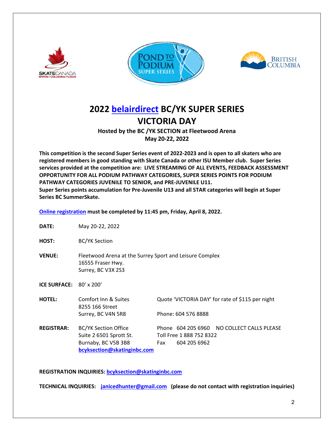





# **2022 [belairdirect](http://www.skatinginbc.com/news/belair-direct-member-benefit-page) BC/YK SUPER SERIES VICTORIA DAY**

**Hosted by the BC /YK SECTION at Fleetwood Arena May 20-22, 2022**

**This competition is the second Super Series event of 2022-2023 and is open to all skaters who are registered members in good standing with Skate Canada or other ISU Member club. Super Series services provided at the competition are: LIVE STREAMING OF ALL EVENTS, FEEDBACK ASSESSMENT OPPORTUNITY FOR ALL PODIUM PATHWAY CATEGORIES, SUPER SERIES POINTS FOR PODIUM PATHWAY CATEGORIES JUVENILE TO SENIOR, and PRE-JUVENILE U11. Super Series points accumulation for Pre-Juvenile U13 and all STAR categories will begin at Super Series BC SummerSkate.** 

**[Online registration](https://skatecanada.wufoo.com/forms/rrc39ew0299d6n/) must be completed by 11:45 pm, Friday, April 8, 2022.** 

- **DATE:** May 20-22, 2022
- **HOST:** BC/YK Section
- **VENUE:** Fleetwood Arena at the Surrey Sport and Leisure Complex 16555 Fraser Hwy. Surrey, BC V3X 2S3

**ICE SURFACE:** 80' x 200'

| <b>HOTEL:</b>     | Comfort Inn & Suites<br>8255 166 Street |     |                          | Quote 'VICTORIA DAY' for rate of \$115 per night |
|-------------------|-----------------------------------------|-----|--------------------------|--------------------------------------------------|
|                   | Surrey, BC V4N 5R8                      |     | Phone: 604 576 8888      |                                                  |
| <b>REGISTRAR:</b> | <b>BC/YK Section Office</b>             |     |                          | Phone 604 205 6960 NO COLLECT CALLS PLEASE       |
|                   | Suite 2 6501 Sprott St.                 |     | Toll Free 1 888 752 8322 |                                                  |
|                   | Burnaby, BC V5B 3B8                     | Fax | 604 205 6962             |                                                  |
|                   | bcyksection@skatinginbc.com             |     |                          |                                                  |

**REGISTRATION INQUIRIES[: bcyksection@skatinginbc.com](mailto:bcyksection@skatinginbc.com)** 

**TECHNICAL INQUIRIES: [janicedhunter@gmail.com](mailto:janicedhunter@gmail.com) (please do not contact with registration inquiries)**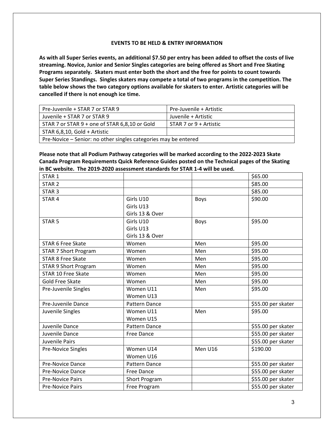#### **EVENTS TO BE HELD & ENTRY INFORMATION**

**As with all Super Series events, an additional \$7.50 per entry has been added to offset the costs of live streaming. Novice, Junior and Senior Singles categories are being offered as Short and Free Skating Programs separately. Skaters must enter both the short and the free for points to count towards Super Series Standings. Singles skaters may compete a total of two programs in the competition. The table below shows the two category options available for skaters to enter. Artistic categories will be cancelled if there is not enough ice time.**

| Pre-Juvenile + STAR 7 or STAR 9                                 | Pre-Juvenile + Artistic |  |
|-----------------------------------------------------------------|-------------------------|--|
| Juvenile + STAR 7 or STAR 9                                     | Juvenile + Artistic     |  |
| STAR 7 or STAR 9 + one of STAR 6,8,10 or Gold                   | STAR 7 or 9 + Artistic  |  |
| STAR 6,8,10, Gold + Artistic                                    |                         |  |
| Pre-Novice - Senior: no other singles categories may be entered |                         |  |

**Please note that all Podium Pathway categories will be marked according to the 2022-2023 Skate Canada Program Requirements Quick Reference Guides posted on the Technical pages of the Skating in BC website. The 2019-2020 assessment standards for STAR 1-4 will be used.**

| STAR <sub>1</sub>           |                      |             | \$65.00             |
|-----------------------------|----------------------|-------------|---------------------|
| STAR <sub>2</sub>           |                      |             | \$85.00             |
| STAR <sub>3</sub>           |                      |             | \$85.00             |
| STAR <sub>4</sub>           | Girls U10            | <b>Boys</b> | \$90.00             |
|                             | Girls U13            |             |                     |
|                             | Girls 13 & Over      |             |                     |
| STAR <sub>5</sub>           | Girls U10            | <b>Boys</b> | \$95.00             |
|                             | Girls U13            |             |                     |
|                             | Girls 13 & Over      |             |                     |
| STAR 6 Free Skate           | Women                | Men         | \$95.00             |
| <b>STAR 7 Short Program</b> | Women                | Men         | \$95.00             |
| <b>STAR 8 Free Skate</b>    | Women                | Men         | \$95.00             |
| <b>STAR 9 Short Program</b> | Women                | Men         | \$95.00             |
| <b>STAR 10 Free Skate</b>   | Women                | Men         | \$95.00             |
| <b>Gold Free Skate</b>      | Women                | Men         | \$95.00             |
| Pre-Juvenile Singles        | Women U11            | Men         | \$95.00             |
|                             | Women U13            |             |                     |
| Pre-Juvenile Dance          | Pattern Dance        |             | \$55.00 per skater  |
| Juvenile Singles            | Women U11            | Men         | \$95.00             |
|                             | Women U15            |             |                     |
| Juvenile Dance              | Pattern Dance        |             | \$55.00 per skater  |
| Juvenile Dance              | Free Dance           |             | \$55.00 per skater  |
| Juvenile Pairs              |                      |             | \$55.00 per skater  |
| <b>Pre-Novice Singles</b>   | Women U14            | Men U16     | \$190.00            |
|                             | Women U16            |             |                     |
| Pre-Novice Dance            | Pattern Dance        |             | \$55.00 per skater  |
| <b>Pre-Novice Dance</b>     | <b>Free Dance</b>    |             | \$55.00 per skater  |
| <b>Pre-Novice Pairs</b>     | <b>Short Program</b> |             | $555.00$ per skater |
| <b>Pre-Novice Pairs</b>     | Free Program         |             | \$55.00 per skater  |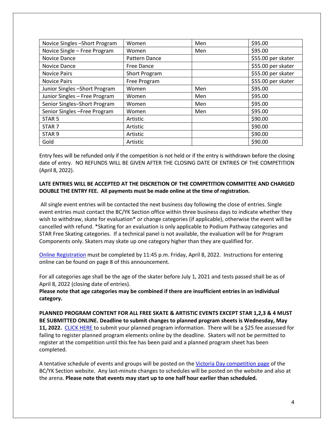| Novice Singles - Short Program | Women         | Men | \$95.00            |
|--------------------------------|---------------|-----|--------------------|
| Novice Single - Free Program   | Women         | Men | \$95.00            |
| Novice Dance                   | Pattern Dance |     | \$55.00 per skater |
| Novice Dance                   | Free Dance    |     | \$55.00 per skater |
| <b>Novice Pairs</b>            | Short Program |     | \$55.00 per skater |
| <b>Novice Pairs</b>            | Free Program  |     | \$55.00 per skater |
| Junior Singles - Short Program | Women         | Men | \$95.00            |
| Junior Singles - Free Program  | Women         | Men | \$95.00            |
| Senior Singles-Short Program   | Women         | Men | \$95.00            |
| Senior Singles - Free Program  | Women         | Men | \$95.00            |
| STAR <sub>5</sub>              | Artistic      |     | \$90.00            |
| STAR <sub>7</sub>              | Artistic      |     | \$90.00            |
| STAR <sub>9</sub>              | Artistic      |     | \$90.00            |
| Gold                           | Artistic      |     | \$90.00            |

Entry fees will be refunded only if the competition is not held or if the entry is withdrawn before the closing date of entry. NO REFUNDS WILL BE GIVEN AFTER THE CLOSING DATE OF ENTRIES OF THE COMPETITION (April 8, 2022).

### **LATE ENTRIES WILL BE ACCEPTED AT THE DISCRETION OF THE COMPETITION COMMITTEE AND CHARGED DOUBLE THE ENTRY FEE. All payments must be made online at the time of registration.**

All single event entries will be contacted the next business day following the close of entries. Single event entries must contact the BC/YK Section office within three business days to indicate whether they wish to withdraw, skate for evaluation<sup>\*</sup> or change categories (if applicable), otherwise the event will be cancelled with refund. \*Skating for an evaluation is only applicable to Podium Pathway categories and STAR Free Skating categories. If a technical panel is not available, the evaluation will be for Program Components only. Skaters may skate up one category higher than they are qualified for.

[Online Registration](https://skatecanada.wufoo.com/forms/rrc39ew0299d6n/) must be completed by 11:45 p.m. Friday, April 8, 2022. Instructions for entering online can be found on page 8 of this announcement.

For all categories age shall be the age of the skater before July 1, 2021 and tests passed shall be as of April 8, 2022 (closing date of entries).

**Please note that age categories may be combined if there are insufficient entries in an individual category.**

**PLANNED PROGRAM CONTENT FOR ALL FREE SKATE & ARTISTIC EVENTS EXCEPT STAR 1,2,3 & 4 MUST BE SUBMITTED ONLINE. Deadline to submit changes to planned program sheets is Wednesday, May 11, 2022.** [CLICK HERE](https://skatecanada.wufoo.com/forms/r1532a2g1e75oz8/) to submit your planned program information. There will be a \$25 fee assessed for failing to register planned program elements online by the deadline. Skaters will not be permitted to register at the competition until this fee has been paid and a planned program sheet has been completed.

A tentative schedule of events and groups will be posted on the [Victoria Day competition page](https://www.skatinginbc.com/events/2022-belairdirect-bcyk-super-series-victoria-day) of the BC/YK Section website. Any last-minute changes to schedules will be posted on the website and also at the arena. **Please note that events may start up to one half hour earlier than scheduled.**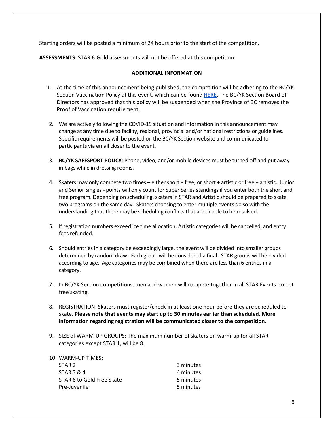Starting orders will be posted a minimum of 24 hours prior to the start of the competition.

**ASSESSMENTS:** STAR 6-Gold assessments will not be offered at this competition.

#### **ADDITIONAL INFORMATION**

- 1. At the time of this announcement being published, the competition will be adhering to the BC/YK Section Vaccination Policy at this event, which can be found [HERE.](https://www.skatinginbc.com/sites/default/files/pages-resources/clubs/bcyksectioneventvaccinationpolicy102221.pdf) The BC/YK Section Board of Directors has approved that this policy will be suspended when the Province of BC removes the Proof of Vaccination requirement.
- 2. We are actively following the COVID-19 situation and information in this announcement may change at any time due to facility, regional, provincial and/or national restrictions or guidelines. Specific requirements will be posted on the BC/YK Section website and communicated to participants via email closer to the event.
- 3. **BC/YK SAFESPORT POLICY**: Phone, video, and/or mobile devices must be turned off and put away in bags while in dressing rooms.
- 4. Skaters may only compete two times either short + free, or short + artistic or free + artistic. Junior and Senior Singles - points will only count for Super Series standings if you enter both the short and free program. Depending on scheduling, skaters in STAR and Artistic should be prepared to skate two programs on the same day. Skaters choosing to enter multiple events do so with the understanding that there may be scheduling conflicts that are unable to be resolved.
- 5. If registration numbers exceed ice time allocation, Artistic categories will be cancelled, and entry fees refunded.
- 6. Should entries in a category be exceedingly large, the event will be divided into smaller groups determined by random draw. Each group will be considered a final. STAR groups will be divided according to age. Age categories may be combined when there are less than 6 entries in a category.
- 7. In BC/YK Section competitions, men and women will compete together in all STAR Events except free skating.
- 8. REGISTRATION: Skaters must register/check-in at least one hour before they are scheduled to skate. **Please note that events may start up to 30 minutes earlier than scheduled. More information regarding registration will be communicated closer to the competition.**
- 9. SIZE of WARM-UP GROUPS: The maximum number of skaters on warm-up for all STAR categories except STAR 1, will be 8.

| 3 minutes |
|-----------|
| 4 minutes |
| 5 minutes |
| 5 minutes |
|           |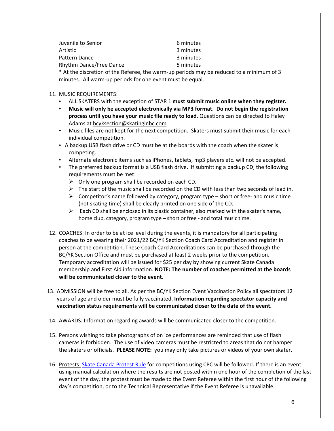| Juvenile to Senior      | 6 minutes |
|-------------------------|-----------|
| Artistic                | 3 minutes |
| Pattern Dance           | 3 minutes |
| Rhythm Dance/Free Dance | 5 minutes |

\* At the discretion of the Referee, the warm-up periods may be reduced to a minimum of 3 minutes. All warm-up periods for one event must be equal.

- 11. MUSIC REQUIREMENTS:
	- ALL SKATERS with the exception of STAR 1 **must submit music online when they register.**
	- **Music will only be accepted electronically via MP3 format**. **Do not begin the registration process until you have your music file ready to load**. Questions can be directed to Haley Adams at [bcyksection@skatinginbc.com](mailto:bcyksection@skatinginbc.com)
	- Music files are not kept for the next competition. Skaters must submit their music for each individual competition.
	- A backup USB flash drive or CD must be at the boards with the coach when the skater is competing.
	- Alternate electronic items such as iPhones, tablets, mp3 players etc. will not be accepted.
	- The preferred backup format is a USB flash drive. If submitting a backup CD, the following requirements must be met:
		- $\triangleright$  Only one program shall be recorded on each CD.
		- $\triangleright$  The start of the music shall be recorded on the CD with less than two seconds of lead in.
		- $\triangleright$  Competitor's name followed by category, program type short or free- and music time (not skating time) shall be clearly printed on one side of the CD.
		- $\triangleright$  Each CD shall be enclosed in its plastic container, also marked with the skater's name, home club, category, program type – short or free - and total music time.
- 12. COACHES: In order to be at ice level during the events, it is mandatory for all participating coaches to be wearing their 2021/22 BC/YK Section Coach Card Accreditation and register in person at the competition. These Coach Card Accreditations can be purchased through the BC/YK Section Office and must be purchased at least 2 weeks prior to the competition. Temporary accreditation will be issued for \$25 per day by showing current Skate Canada membership and First Aid information. **NOTE: The number of coaches permitted at the boards will be communicated closer to the event.**
- 13. ADMISSION will be free to all. As per the BC/YK Section Event Vaccination Policy all spectators 12 years of age and older must be fully vaccinated. **Information regarding spectator capacity and vaccination status requirements will be communicated closer to the date of the event.**
- 14. AWARDS: Information regarding awards will be communicated closer to the competition.
- 15. Persons wishing to take photographs of on ice performances are reminded that use of flash cameras is forbidden. The use of video cameras must be restricted to areas that do not hamper the skaters or officials. **PLEASE NOTE:** you may only take pictures or videos of your own skater.
- 16. Protests: [Skate Canada Protest Rule](https://info.skatecanada.ca/index.php/en-ca/rules-of-sport/54-competitions.html#h3-14-protests) for competitions using CPC will be followed. If there is an event using manual calculation where the results are not posted within one hour of the completion of the last event of the day, the protest must be made to the Event Referee within the first hour of the following day's competition, or to the Technical Representative if the Event Referee is unavailable.